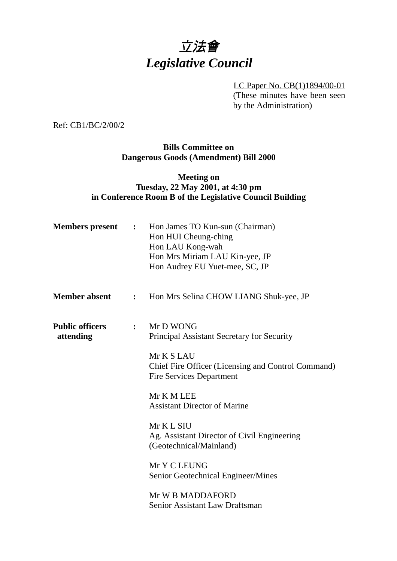# 立法會 *Legislative Council*

LC Paper No. CB(1)1894/00-01 (These minutes have been seen by the Administration)

Ref: CB1/BC/2/00/2

**Bills Committee on Dangerous Goods (Amendment) Bill 2000**

# **Meeting on Tuesday, 22 May 2001, at 4:30 pm in Conference Room B of the Legislative Council Building**

| <b>Members</b> present              | $\ddot{\cdot}$ | Hon James TO Kun-sun (Chairman)<br>Hon HUI Cheung-ching<br>Hon LAU Kong-wah<br>Hon Mrs Miriam LAU Kin-yee, JP<br>Hon Audrey EU Yuet-mee, SC, JP |
|-------------------------------------|----------------|-------------------------------------------------------------------------------------------------------------------------------------------------|
| <b>Member absent</b>                | $\ddot{\cdot}$ | Hon Mrs Selina CHOW LIANG Shuk-yee, JP                                                                                                          |
| <b>Public officers</b><br>attending | $\ddot{\cdot}$ | Mr D WONG<br>Principal Assistant Secretary for Security<br>Mr K S LAU<br>Chief Fire Officer (Licensing and Control Command)                     |
|                                     |                | <b>Fire Services Department</b><br>Mr K M LEE<br><b>Assistant Director of Marine</b>                                                            |
|                                     |                | Mr K L SIU<br>Ag. Assistant Director of Civil Engineering<br>(Geotechnical/Mainland)                                                            |
|                                     |                | Mr Y C LEUNG<br>Senior Geotechnical Engineer/Mines                                                                                              |
|                                     |                | Mr W B MADDAFORD<br>Senior Assistant Law Draftsman                                                                                              |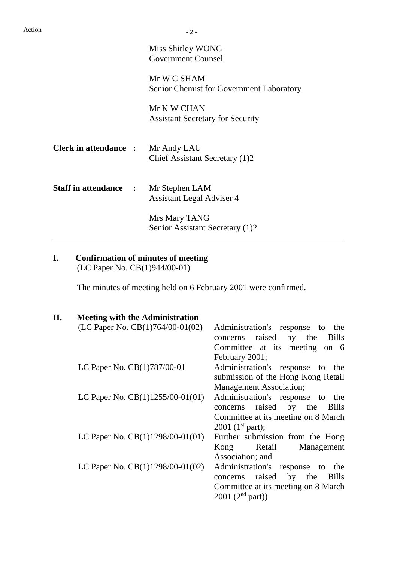$\overline{a}$ 

Miss Shirley WONG Government Counsel

Mr W C SHAM Senior Chemist for Government Laboratory

Mr K W CHAN Assistant Secretary for Security

- **Clerk in attendance :** Mr Andy LAU Chief Assistant Secretary (1)2
- **Staff in attendance :** Mr Stephen LAM Assistant Legal Adviser 4 Mrs Mary TANG

Senior Assistant Secretary (1)2

# **I. Confirmation of minutes of meeting**

(LC Paper No. CB(1)944/00-01)

The minutes of meeting held on 6 February 2001 were confirmed.

## **II. Meeting with the Administration**

| (LC Paper No. $CB(1)764/00-01(02)$ ) | Administration's response to<br>the<br>concerns raised by the<br><b>Bills</b><br>Committee at its meeting on 6 |
|--------------------------------------|----------------------------------------------------------------------------------------------------------------|
| LC Paper No. CB(1)787/00-01          | February 2001;<br>Administration's response to the                                                             |
|                                      | submission of the Hong Kong Retail                                                                             |
|                                      | <b>Management Association;</b>                                                                                 |
| LC Paper No. $CB(1)1255/00-01(01)$   | Administration's response to the                                                                               |
|                                      | concerns raised by the Bills                                                                                   |
|                                      | Committee at its meeting on 8 March                                                                            |
|                                      | 2001 ( $1^{\text{st}}$ part);                                                                                  |
| LC Paper No. $CB(1)1298/00-01(01)$   | Further submission from the Hong                                                                               |
|                                      | Retail<br>Management<br>Kong                                                                                   |
|                                      | Association; and                                                                                               |
| LC Paper No. $CB(1)1298/00-01(02)$   | Administration's response to<br>the                                                                            |
|                                      | raised by the<br><b>Bills</b><br>concerns                                                                      |
|                                      | Committee at its meeting on 8 March                                                                            |
|                                      | 2001 (2 <sup>nd</sup> part))                                                                                   |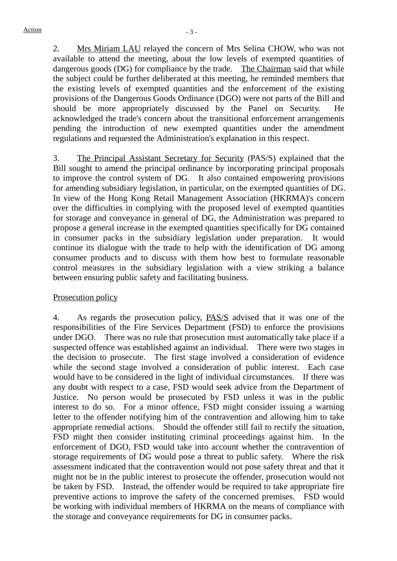2. Mrs Miriam LAU relayed the concern of Mrs Selina CHOW, who was not available to attend the meeting, about the low levels of exempted quantities of dangerous goods (DG) for compliance by the trade. The Chairman said that while the subject could be further deliberated at this meeting, he reminded members that the existing levels of exempted quantities and the enforcement of the existing provisions of the Dangerous Goods Ordinance (DGO) were not parts of the Bill and should be more appropriately discussed by the Panel on Security. He acknowledged the trade's concern about the transitional enforcement arrangements pending the introduction of new exempted quantities under the amendment regulations and requested the Administration's explanation in this respect.

3. The Principal Assistant Secretary for Security (PAS/S) explained that the Bill sought to amend the principal ordinance by incorporating principal proposals to improve the control system of DG. It also contained empowering provisions for amending subsidiary legislation, in particular, on the exempted quantities of DG. In view of the Hong Kong Retail Management Association (HKRMA)'s concern over the difficulties in complying with the proposed level of exempted quantities for storage and conveyance in general of DG, the Administration was prepared to propose a general increase in the exempted quantities specifically for DG contained in consumer packs in the subsidiary legislation under preparation. It would continue its dialogue with the trade to help with the identification of DG among consumer products and to discuss with them how best to formulate reasonable control measures in the subsidiary legislation with a view striking a balance between ensuring public safety and facilitating business.

#### Prosecution policy

4. As regards the prosecution policy, PAS/S advised that it was one of the responsibilities of the Fire Services Department (FSD) to enforce the provisions under DGO. There was no rule that prosecution must automatically take place if a suspected offence was established against an individual. There were two stages in the decision to prosecute. The first stage involved a consideration of evidence while the second stage involved a consideration of public interest. Each case would have to be considered in the light of individual circumstances. If there was any doubt with respect to a case, FSD would seek advice from the Department of Justice. No person would be prosecuted by FSD unless it was in the public interest to do so. For a minor offence, FSD might consider issuing a warning letter to the offender notifying him of the contravention and allowing him to take appropriate remedial actions. Should the offender still fail to rectify the situation, FSD might then consider instituting criminal proceedings against him. In the enforcement of DGO, FSD would take into account whether the contravention of storage requirements of DG would pose a threat to public safety. Where the risk assessment indicated that the contravention would not pose safety threat and that it might not be in the public interest to prosecute the offender, prosecution would not be taken by FSD. Instead, the offender would be required to take appropriate fire preventive actions to improve the safety of the concerned premises. FSD would be working with individual members of HKRMA on the means of compliance with the storage and conveyance requirements for DG in consumer packs.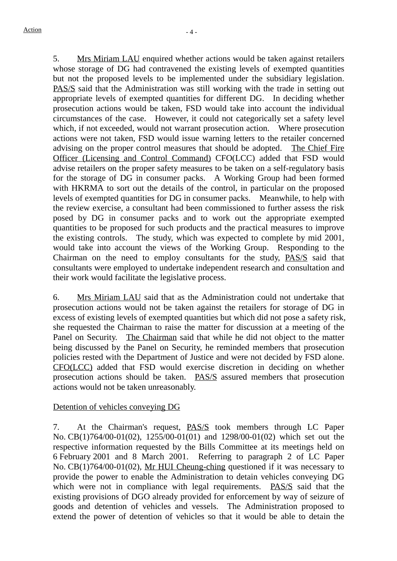5. Mrs Miriam LAU enquired whether actions would be taken against retailers whose storage of DG had contravened the existing levels of exempted quantities but not the proposed levels to be implemented under the subsidiary legislation. PAS/S said that the Administration was still working with the trade in setting out appropriate levels of exempted quantities for different DG. In deciding whether prosecution actions would be taken, FSD would take into account the individual circumstances of the case. However, it could not categorically set a safety level which, if not exceeded, would not warrant prosecution action. Where prosecution actions were not taken, FSD would issue warning letters to the retailer concerned advising on the proper control measures that should be adopted. The Chief Fire Officer (Licensing and Control Command) CFO(LCC) added that FSD would advise retailers on the proper safety measures to be taken on a self-regulatory basis for the storage of DG in consumer packs. A Working Group had been formed with HKRMA to sort out the details of the control, in particular on the proposed levels of exempted quantities for DG in consumer packs. Meanwhile, to help with the review exercise, a consultant had been commissioned to further assess the risk posed by DG in consumer packs and to work out the appropriate exempted quantities to be proposed for such products and the practical measures to improve the existing controls. The study, which was expected to complete by mid 2001, would take into account the views of the Working Group. Responding to the Chairman on the need to employ consultants for the study, PAS/S said that consultants were employed to undertake independent research and consultation and their work would facilitate the legislative process.

6. Mrs Miriam LAU said that as the Administration could not undertake that prosecution actions would not be taken against the retailers for storage of DG in excess of existing levels of exempted quantities but which did not pose a safety risk, she requested the Chairman to raise the matter for discussion at a meeting of the Panel on Security. The Chairman said that while he did not object to the matter being discussed by the Panel on Security, he reminded members that prosecution policies rested with the Department of Justice and were not decided by FSD alone. CFO(LCC) added that FSD would exercise discretion in deciding on whether prosecution actions should be taken. PAS/S assured members that prosecution actions would not be taken unreasonably.

# Detention of vehicles conveying DG

7. At the Chairman's request, PAS/S took members through LC Paper No. CB(1)764/00-01(02), 1255/00-01(01) and 1298/00-01(02) which set out the respective information requested by the Bills Committee at its meetings held on 6 February 2001 and 8 March 2001. Referring to paragraph 2 of LC Paper No. CB(1)764/00-01(02), Mr HUI Cheung-ching questioned if it was necessary to provide the power to enable the Administration to detain vehicles conveying DG which were not in compliance with legal requirements. **PAS/S** said that the existing provisions of DGO already provided for enforcement by way of seizure of goods and detention of vehicles and vessels. The Administration proposed to extend the power of detention of vehicles so that it would be able to detain the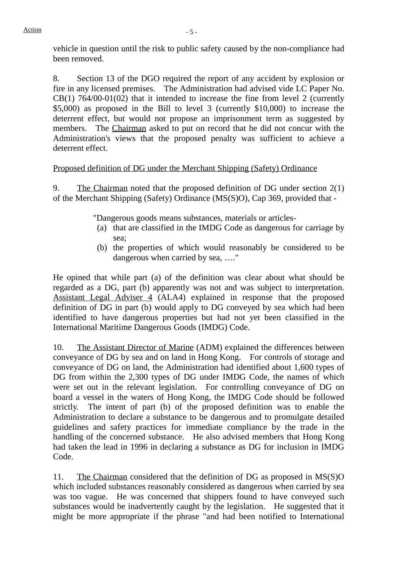vehicle in question until the risk to public safety caused by the non-compliance had been removed.

8. Section 13 of the DGO required the report of any accident by explosion or fire in any licensed premises. The Administration had advised vide LC Paper No. CB(1) 764/00-01(02) that it intended to increase the fine from level 2 (currently \$5,000) as proposed in the Bill to level 3 (currently \$10,000) to increase the deterrent effect, but would not propose an imprisonment term as suggested by members. The Chairman asked to put on record that he did not concur with the Administration's views that the proposed penalty was sufficient to achieve a deterrent effect.

# Proposed definition of DG under the Merchant Shipping (Safety) Ordinance

9. The Chairman noted that the proposed definition of DG under section 2(1) of the Merchant Shipping (Safety) Ordinance (MS(S)O), Cap 369, provided that -

"Dangerous goods means substances, materials or articles-

- (a) that are classified in the IMDG Code as dangerous for carriage by sea;
- (b) the properties of which would reasonably be considered to be dangerous when carried by sea, …."

He opined that while part (a) of the definition was clear about what should be regarded as a DG, part (b) apparently was not and was subject to interpretation. Assistant Legal Adviser 4 (ALA4) explained in response that the proposed definition of DG in part (b) would apply to DG conveyed by sea which had been identified to have dangerous properties but had not yet been classified in the International Maritime Dangerous Goods (IMDG) Code.

10. The Assistant Director of Marine (ADM) explained the differences between conveyance of DG by sea and on land in Hong Kong. For controls of storage and conveyance of DG on land, the Administration had identified about 1,600 types of DG from within the 2,300 types of DG under IMDG Code, the names of which were set out in the relevant legislation. For controlling conveyance of DG on board a vessel in the waters of Hong Kong, the IMDG Code should be followed strictly. The intent of part (b) of the proposed definition was to enable the Administration to declare a substance to be dangerous and to promulgate detailed guidelines and safety practices for immediate compliance by the trade in the handling of the concerned substance. He also advised members that Hong Kong had taken the lead in 1996 in declaring a substance as DG for inclusion in IMDG Code.

11. The Chairman considered that the definition of DG as proposed in MS(S)O which included substances reasonably considered as dangerous when carried by sea was too vague. He was concerned that shippers found to have conveyed such substances would be inadvertently caught by the legislation. He suggested that it might be more appropriate if the phrase "and had been notified to International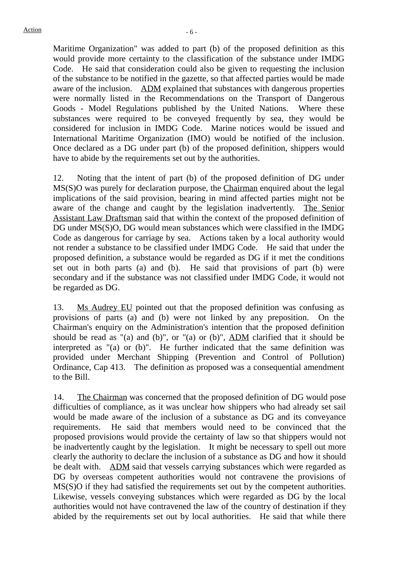Maritime Organization" was added to part (b) of the proposed definition as this would provide more certainty to the classification of the substance under IMDG Code. He said that consideration could also be given to requesting the inclusion of the substance to be notified in the gazette, so that affected parties would be made aware of the inclusion. ADM explained that substances with dangerous properties were normally listed in the Recommendations on the Transport of Dangerous Goods - Model Regulations published by the United Nations. Where these substances were required to be conveyed frequently by sea, they would be considered for inclusion in IMDG Code. Marine notices would be issued and International Maritime Organization (IMO) would be notified of the inclusion. Once declared as a DG under part (b) of the proposed definition, shippers would have to abide by the requirements set out by the authorities.

12. Noting that the intent of part (b) of the proposed definition of DG under MS(S)O was purely for declaration purpose, the Chairman enquired about the legal implications of the said provision, bearing in mind affected parties might not be aware of the change and caught by the legislation inadvertently. The Senior Assistant Law Draftsman said that within the context of the proposed definition of DG under MS(S)O, DG would mean substances which were classified in the IMDG Code as dangerous for carriage by sea. Actions taken by a local authority would not render a substance to be classified under IMDG Code. He said that under the proposed definition, a substance would be regarded as DG if it met the conditions set out in both parts (a) and (b). He said that provisions of part (b) were secondary and if the substance was not classified under IMDG Code, it would not be regarded as DG.

13. Ms Audrey EU pointed out that the proposed definition was confusing as provisions of parts (a) and (b) were not linked by any preposition. On the Chairman's enquiry on the Administration's intention that the proposed definition should be read as "(a) and (b)", or "(a) or (b)",  $\overline{ADM}$  clarified that it should be interpreted as "(a) or (b)". He further indicated that the same definition was provided under Merchant Shipping (Prevention and Control of Pollution) Ordinance, Cap 413. The definition as proposed was a consequential amendment to the Bill.

14. The Chairman was concerned that the proposed definition of DG would pose difficulties of compliance, as it was unclear how shippers who had already set sail would be made aware of the inclusion of a substance as DG and its conveyance requirements. He said that members would need to be convinced that the proposed provisions would provide the certainty of law so that shippers would not be inadvertently caught by the legislation. It might be necessary to spell out more clearly the authority to declare the inclusion of a substance as DG and how it should be dealt with. ADM said that vessels carrying substances which were regarded as DG by overseas competent authorities would not contravene the provisions of MS(S)O if they had satisfied the requirements set out by the competent authorities. Likewise, vessels conveying substances which were regarded as DG by the local authorities would not have contravened the law of the country of destination if they abided by the requirements set out by local authorities. He said that while there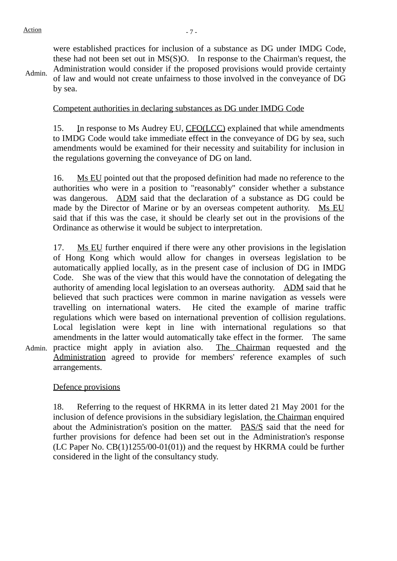Admin. were established practices for inclusion of a substance as DG under IMDG Code, these had not been set out in MS(S)O. In response to the Chairman's request, the Administration would consider if the proposed provisions would provide certainty of law and would not create unfairness to those involved in the conveyance of DG by sea.

#### Competent authorities in declaring substances as DG under IMDG Code

15. In response to Ms Audrey EU, CFO(LCC) explained that while amendments to IMDG Code would take immediate effect in the conveyance of DG by sea, such amendments would be examined for their necessity and suitability for inclusion in the regulations governing the conveyance of DG on land.

16. Ms EU pointed out that the proposed definition had made no reference to the authorities who were in a position to "reasonably" consider whether a substance was dangerous. ADM said that the declaration of a substance as DG could be made by the Director of Marine or by an overseas competent authority. Ms EU said that if this was the case, it should be clearly set out in the provisions of the Ordinance as otherwise it would be subject to interpretation.

Admin. practice might apply in aviation also. The Chairman requested and the 17. Ms EU further enquired if there were any other provisions in the legislation of Hong Kong which would allow for changes in overseas legislation to be automatically applied locally, as in the present case of inclusion of DG in IMDG Code. She was of the view that this would have the connotation of delegating the authority of amending local legislation to an overseas authority. ADM said that he believed that such practices were common in marine navigation as vessels were travelling on international waters. He cited the example of marine traffic regulations which were based on international prevention of collision regulations. Local legislation were kept in line with international regulations so that amendments in the latter would automatically take effect in the former. The same Administration agreed to provide for members' reference examples of such arrangements.

#### Defence provisions

18. Referring to the request of HKRMA in its letter dated 21 May 2001 for the inclusion of defence provisions in the subsidiary legislation, the Chairman enquired about the Administration's position on the matter. PAS/S said that the need for further provisions for defence had been set out in the Administration's response (LC Paper No. CB(1)1255/00-01(01)) and the request by HKRMA could be further considered in the light of the consultancy study.